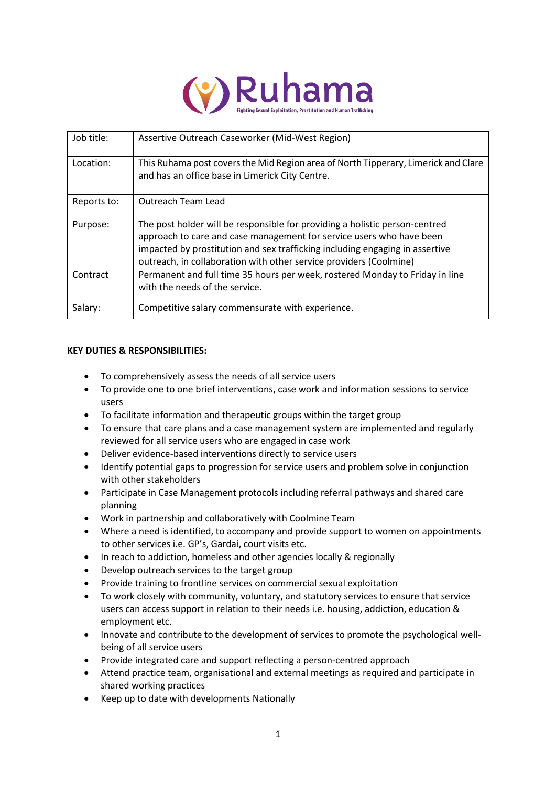

| Job title:  | Assertive Outreach Caseworker (Mid-West Region)                                                                                                                                                                                                                                                           |
|-------------|-----------------------------------------------------------------------------------------------------------------------------------------------------------------------------------------------------------------------------------------------------------------------------------------------------------|
| Location:   | This Ruhama post covers the Mid Region area of North Tipperary, Limerick and Clare<br>and has an office base in Limerick City Centre.                                                                                                                                                                     |
| Reports to: | Outreach Team Lead                                                                                                                                                                                                                                                                                        |
| Purpose:    | The post holder will be responsible for providing a holistic person-centred<br>approach to care and case management for service users who have been<br>impacted by prostitution and sex trafficking including engaging in assertive<br>outreach, in collaboration with other service providers (Coolmine) |
| Contract    | Permanent and full time 35 hours per week, rostered Monday to Friday in line<br>with the needs of the service.                                                                                                                                                                                            |
| Salary:     | Competitive salary commensurate with experience.                                                                                                                                                                                                                                                          |

# **KEY DUTIES & RESPONSIBILITIES:**

- To comprehensively assess the needs of all service users
- To provide one to one brief interventions, case work and information sessions to service users
- To facilitate information and therapeutic groups within the target group
- To ensure that care plans and a case management system are implemented and regularly reviewed for all service users who are engaged in case work
- Deliver evidence-based interventions directly to service users
- Identify potential gaps to progression for service users and problem solve in conjunction with other stakeholders
- Participate in Case Management protocols including referral pathways and shared care planning
- Work in partnership and collaboratively with Coolmine Team
- Where a need is identified, to accompany and provide support to women on appointments to other services i.e. GP's, Gardaí, court visits etc.
- In reach to addiction, homeless and other agencies locally & regionally
- Develop outreach services to the target group
- Provide training to frontline services on commercial sexual exploitation
- To work closely with community, voluntary, and statutory services to ensure that service users can access support in relation to their needs i.e. housing, addiction, education & employment etc.
- Innovate and contribute to the development of services to promote the psychological wellbeing of all service users
- Provide integrated care and support reflecting a person-centred approach
- Attend practice team, organisational and external meetings as required and participate in shared working practices
- Keep up to date with developments Nationally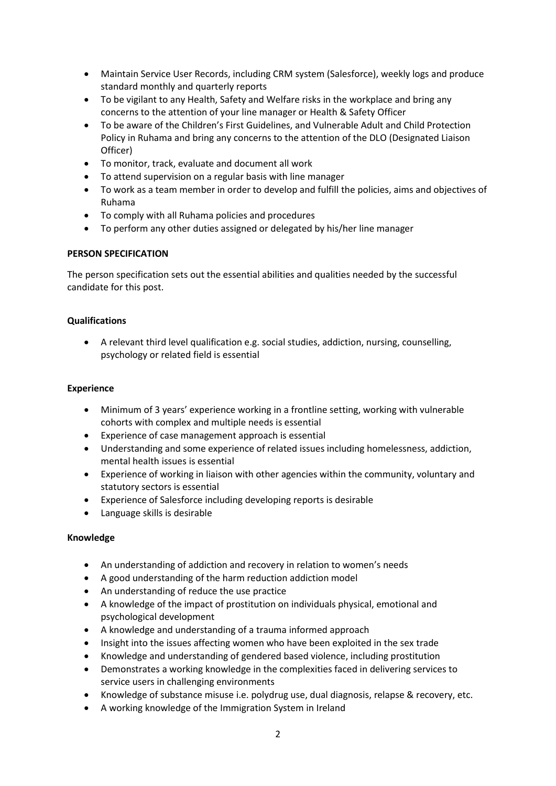- Maintain Service User Records, including CRM system (Salesforce), weekly logs and produce standard monthly and quarterly reports
- To be vigilant to any Health, Safety and Welfare risks in the workplace and bring any concerns to the attention of your line manager or Health & Safety Officer
- To be aware of the Children's First Guidelines, and Vulnerable Adult and Child Protection Policy in Ruhama and bring any concerns to the attention of the DLO (Designated Liaison Officer)
- To monitor, track, evaluate and document all work
- To attend supervision on a regular basis with line manager
- To work as a team member in order to develop and fulfill the policies, aims and objectives of Ruhama
- To comply with all Ruhama policies and procedures
- To perform any other duties assigned or delegated by his/her line manager

# **PERSON SPECIFICATION**

The person specification sets out the essential abilities and qualities needed by the successful candidate for this post.

# **Qualifications**

• A relevant third level qualification e.g. social studies, addiction, nursing, counselling, psychology or related field is essential

### **Experience**

- Minimum of 3 years' experience working in a frontline setting, working with vulnerable cohorts with complex and multiple needs is essential
- Experience of case management approach is essential
- Understanding and some experience of related issues including homelessness, addiction, mental health issues is essential
- Experience of working in liaison with other agencies within the community, voluntary and statutory sectors is essential
- Experience of Salesforce including developing reports is desirable
- Language skills is desirable

#### **Knowledge**

- An understanding of addiction and recovery in relation to women's needs
- A good understanding of the harm reduction addiction model
- An understanding of reduce the use practice
- A knowledge of the impact of prostitution on individuals physical, emotional and psychological development
- A knowledge and understanding of a trauma informed approach
- Insight into the issues affecting women who have been exploited in the sex trade
- Knowledge and understanding of gendered based violence, including prostitution
- Demonstrates a working knowledge in the complexities faced in delivering services to service users in challenging environments
- Knowledge of substance misuse i.e. polydrug use, dual diagnosis, relapse & recovery, etc.
- A working knowledge of the Immigration System in Ireland